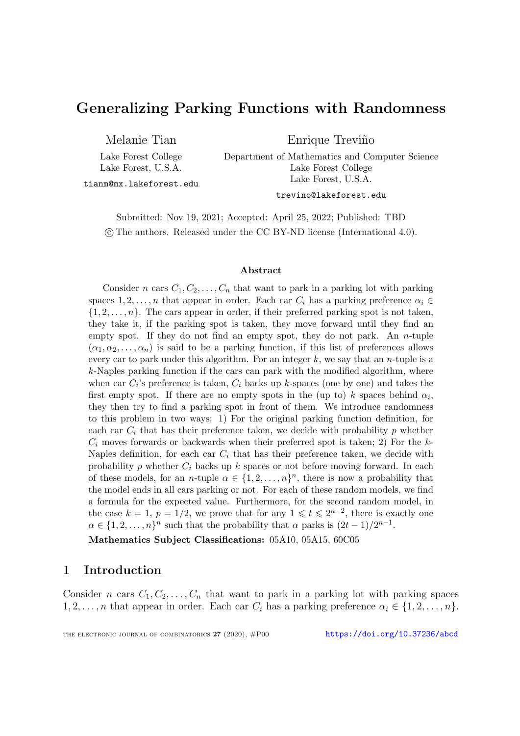# Generalizing Parking Functions with Randomness

Melanie Tian

Lake Forest College Lake Forest, U.S.A.

Enrique Treviño

Department of Mathematics and Computer Science Lake Forest College Lake Forest, U.S.A.

tianm@mx.lakeforest.edu

trevino@lakeforest.edu

Submitted: Nov 19, 2021; Accepted: April 25, 2022; Published: TBD c The authors. Released under the CC BY-ND license (International 4.0).

#### Abstract

Consider n cars  $C_1, C_2, \ldots, C_n$  that want to park in a parking lot with parking spaces  $1, 2, \ldots, n$  that appear in order. Each car  $C_i$  has a parking preference  $\alpha_i \in$  $\{1, 2, \ldots, n\}$ . The cars appear in order, if their preferred parking spot is not taken, they take it, if the parking spot is taken, they move forward until they find an empty spot. If they do not find an empty spot, they do not park. An  $n$ -tuple  $(\alpha_1, \alpha_2, \ldots, \alpha_n)$  is said to be a parking function, if this list of preferences allows every car to park under this algorithm. For an integer  $k$ , we say that an *n*-tuple is a  $k$ -Naples parking function if the cars can park with the modified algorithm, where when car  $C_i$ 's preference is taken,  $C_i$  backs up k-spaces (one by one) and takes the first empty spot. If there are no empty spots in the (up to) k spaces behind  $\alpha_i$ , they then try to find a parking spot in front of them. We introduce randomness to this problem in two ways: 1) For the original parking function definition, for each car  $C_i$  that has their preference taken, we decide with probability p whether  $C_i$  moves forwards or backwards when their preferred spot is taken; 2) For the k-Naples definition, for each car  $C_i$  that has their preference taken, we decide with probability p whether  $C_i$  backs up k spaces or not before moving forward. In each of these models, for an *n*-tuple  $\alpha \in \{1, 2, ..., n\}^n$ , there is now a probability that the model ends in all cars parking or not. For each of these random models, we find a formula for the expected value. Furthermore, for the second random model, in the case  $k = 1$ ,  $p = 1/2$ , we prove that for any  $1 \leq t \leq 2^{n-2}$ , there is exactly one  $\alpha \in \{1, 2, \ldots, n\}^n$  such that the probability that  $\alpha$  parks is  $(2t-1)/2^{n-1}$ .

Mathematics Subject Classifications: 05A10, 05A15, 60C05

# 1 Introduction

Consider n cars  $C_1, C_2, \ldots, C_n$  that want to park in a parking lot with parking spaces 1, 2, ..., n that appear in order. Each car  $C_i$  has a parking preference  $\alpha_i \in \{1, 2, ..., n\}$ .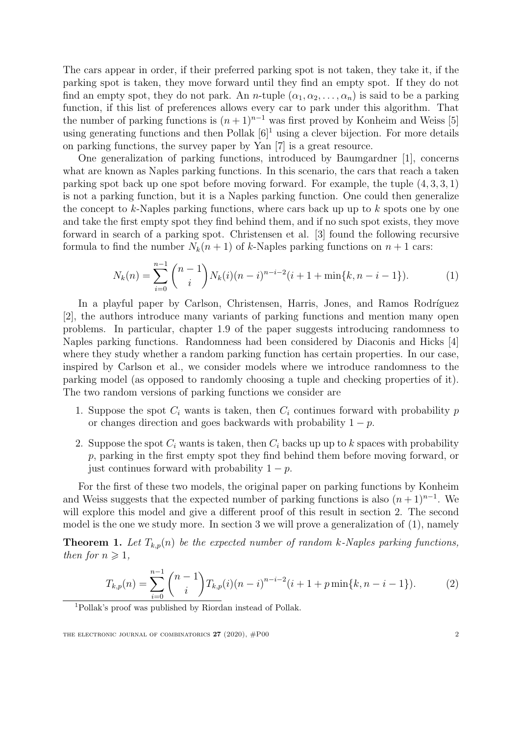The cars appear in order, if their preferred parking spot is not taken, they take it, if the parking spot is taken, they move forward until they find an empty spot. If they do not find an empty spot, they do not park. An *n*-tuple  $(\alpha_1, \alpha_2, \ldots, \alpha_n)$  is said to be a parking function, if this list of preferences allows every car to park under this algorithm. That the number of parking functions is  $(n+1)^{n-1}$  was first proved by Konheim and Weiss [\[5\]](#page-12-0) using generating functions and then Pollak  $[6]^1$  $[6]^1$  $[6]^1$  using a clever bijection. For more details on parking functions, the survey paper by Yan [\[7\]](#page-13-0) is a great resource.

One generalization of parking functions, introduced by Baumgardner [\[1\]](#page-12-2), concerns what are known as Naples parking functions. In this scenario, the cars that reach a taken parking spot back up one spot before moving forward. For example, the tuple  $(4, 3, 3, 1)$ is not a parking function, but it is a Naples parking function. One could then generalize the concept to k-Naples parking functions, where cars back up up to k spots one by one and take the first empty spot they find behind them, and if no such spot exists, they move forward in search of a parking spot. Christensen et al. [\[3\]](#page-12-3) found the following recursive formula to find the number  $N_k(n+1)$  of k-Naples parking functions on  $n+1$  cars:

<span id="page-1-1"></span>
$$
N_k(n) = \sum_{i=0}^{n-1} {n-1 \choose i} N_k(i)(n-i)^{n-i-2}(i+1+\min\{k, n-i-1\}).
$$
 (1)

In a playful paper by Carlson, Christensen, Harris, Jones, and Ramos Rodríguez [\[2\]](#page-12-4), the authors introduce many variants of parking functions and mention many open problems. In particular, chapter 1.9 of the paper suggests introducing randomness to Naples parking functions. Randomness had been considered by Diaconis and Hicks [\[4\]](#page-12-5) where they study whether a random parking function has certain properties. In our case, inspired by Carlson et al., we consider models where we introduce randomness to the parking model (as opposed to randomly choosing a tuple and checking properties of it). The two random versions of parking functions we consider are

- 1. Suppose the spot  $C_i$  wants is taken, then  $C_i$  continues forward with probability p or changes direction and goes backwards with probability  $1 - p$ .
- 2. Suppose the spot  $C_i$  wants is taken, then  $C_i$  backs up up to k spaces with probability p, parking in the first empty spot they find behind them before moving forward, or just continues forward with probability  $1 - p$ .

For the first of these two models, the original paper on parking functions by Konheim and Weiss suggests that the expected number of parking functions is also  $(n+1)^{n-1}$ . We will explore this model and give a different proof of this result in section [2.](#page-2-0) The second model is the one we study more. In section [3](#page-3-0) we will prove a generalization of [\(1\)](#page-1-1), namely

<span id="page-1-2"></span>**Theorem 1.** Let  $T_{k,p}(n)$  be the expected number of random k-Naples parking functions, then for  $n \geqslant 1$ ,

<span id="page-1-3"></span>
$$
T_{k,p}(n) = \sum_{i=0}^{n-1} {n-1 \choose i} T_{k,p}(i)(n-i)^{n-i-2}(i+1+p\min\{k,n-i-1\}).
$$
 (2)

<span id="page-1-0"></span><sup>1</sup>Pollak's proof was published by Riordan instead of Pollak.

THE ELECTRONIC JOURNAL OF COMBINATORICS  $27$  (2020),  $\#P00$  2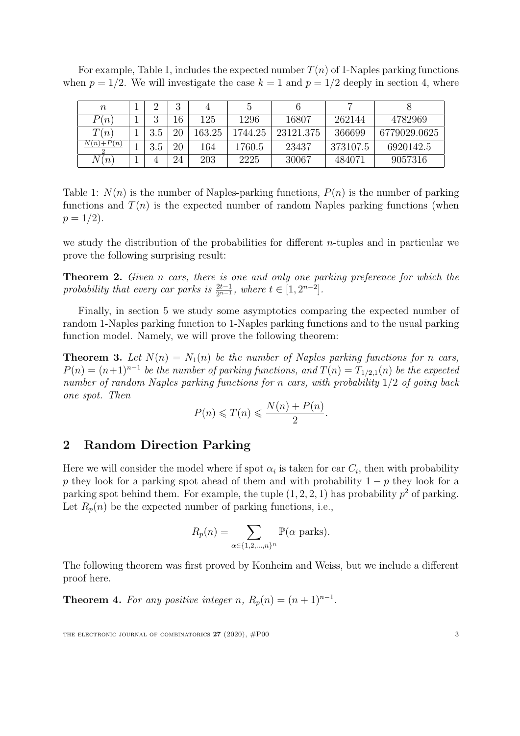For example, Table [1,](#page-2-1) includes the expected number  $T(n)$  of 1-Naples parking functions when  $p = 1/2$ . We will investigate the case  $k = 1$  and  $p = 1/2$  deeply in section [4,](#page-5-0) where

| $\, n$      |         | 2<br>,, |        |         |           |          |              |
|-------------|---------|---------|--------|---------|-----------|----------|--------------|
| P(n)        | റ<br>., | 16      | 125    | 1296    | 16807     | 262144   | 4782969      |
| T(n)        | 3.5     | 20      | 163.25 | 1744.25 | 23121.375 | 366699   | 6779029.0625 |
| $N(n)+P(n)$ | 3.5     | 20      | 164    | 1760.5  | 23437     | 373107.5 | 6920142.5    |
| N(n)        |         | 24      | 203    | 2225    | 30067     | 484071   | 9057316      |

<span id="page-2-1"></span>Table 1:  $N(n)$  is the number of Naples-parking functions,  $P(n)$  is the number of parking functions and  $T(n)$  is the expected number of random Naples parking functions (when  $p = 1/2$ .

we study the distribution of the probabilities for different n-tuples and in particular we prove the following surprising result:

<span id="page-2-2"></span>**Theorem 2.** Given n cars, there is one and only one parking preference for which the probability that every car parks is  $\frac{2t-1}{2^{n-1}}$ , where  $t \in [1, 2^{n-2}]$ .

Finally, in section [5](#page-11-0) we study some asymptotics comparing the expected number of random 1-Naples parking function to 1-Naples parking functions and to the usual parking function model. Namely, we will prove the following theorem:

<span id="page-2-3"></span>**Theorem 3.** Let  $N(n) = N_1(n)$  be the number of Naples parking functions for n cars,  $P(n) = (n+1)^{n-1}$  be the number of parking functions, and  $T(n) = T_{1/2,1}(n)$  be the expected number of random Naples parking functions for n cars, with probability  $1/2$  of going back one spot. Then

$$
P(n) \leqslant T(n) \leqslant \frac{N(n) + P(n)}{2}.
$$

### <span id="page-2-0"></span>2 Random Direction Parking

Here we will consider the model where if spot  $\alpha_i$  is taken for car  $C_i$ , then with probability p they look for a parking spot ahead of them and with probability  $1 - p$  they look for a parking spot behind them. For example, the tuple  $(1, 2, 2, 1)$  has probability  $p<sup>2</sup>$  of parking. Let  $R_p(n)$  be the expected number of parking functions, i.e.,

$$
R_p(n) = \sum_{\alpha \in \{1, 2, \dots, n\}^n} \mathbb{P}(\alpha \text{ parks}).
$$

The following theorem was first proved by Konheim and Weiss, but we include a different proof here.

**Theorem 4.** For any positive integer n,  $R_p(n) = (n+1)^{n-1}$ .

THE ELECTRONIC JOURNAL OF COMBINATORICS  $27$  (2020),  $\#P00$  3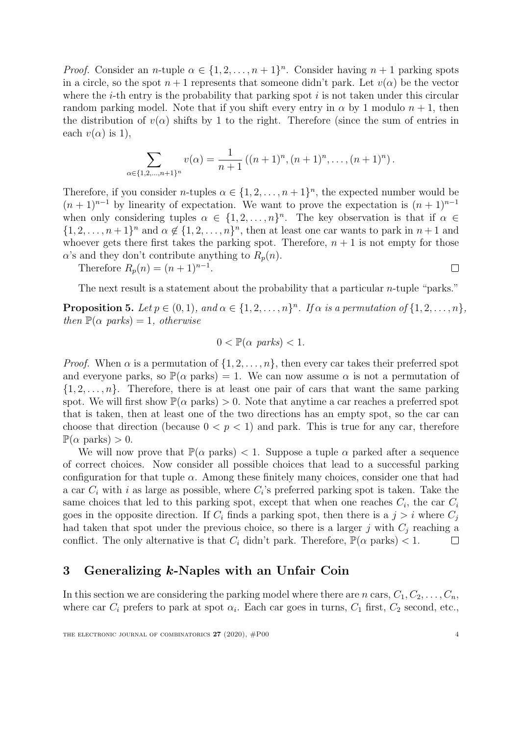*Proof.* Consider an *n*-tuple  $\alpha \in \{1, 2, ..., n+1\}^n$ . Consider having  $n+1$  parking spots in a circle, so the spot  $n+1$  represents that someone didn't park. Let  $v(\alpha)$  be the vector where the *i*-th entry is the probability that parking spot  $i$  is not taken under this circular random parking model. Note that if you shift every entry in  $\alpha$  by 1 modulo  $n + 1$ , then the distribution of  $v(\alpha)$  shifts by 1 to the right. Therefore (since the sum of entries in each  $v(\alpha)$  is 1),

$$
\sum_{\alpha \in \{1,2,\dots,n+1\}^n} v(\alpha) = \frac{1}{n+1} ((n+1)^n, (n+1)^n, \dots, (n+1)^n).
$$

Therefore, if you consider *n*-tuples  $\alpha \in \{1, 2, ..., n+1\}^n$ , the expected number would be  $(n + 1)^{n-1}$  by linearity of expectation. We want to prove the expectation is  $(n + 1)^{n-1}$ when only considering tuples  $\alpha \in \{1, 2, ..., n\}^n$ . The key observation is that if  $\alpha \in$  $\{1, 2, \ldots, n+1\}^n$  and  $\alpha \notin \{1, 2, \ldots, n\}^n$ , then at least one car wants to park in  $n+1$  and whoever gets there first takes the parking spot. Therefore,  $n + 1$  is not empty for those  $\alpha$ 's and they don't contribute anything to  $R_p(n)$ .

Therefore  $R_p(n) = (n+1)^{n-1}$ .

 $\Box$ 

The next result is a statement about the probability that a particular  $n$ -tuple "parks."

**Proposition 5.** Let  $p \in (0,1)$ , and  $\alpha \in \{1,2,\ldots,n\}^n$ . If  $\alpha$  is a permutation of  $\{1,2,\ldots,n\}$ , then  $\mathbb{P}(\alpha \text{ parks}) = 1$ , otherwise

$$
0 < \mathbb{P}(\alpha \text{ parks}) < 1.
$$

*Proof.* When  $\alpha$  is a permutation of  $\{1, 2, \ldots, n\}$ , then every car takes their preferred spot and everyone parks, so  $\mathbb{P}(\alpha \text{ parks}) = 1$ . We can now assume  $\alpha$  is not a permutation of  $\{1, 2, \ldots, n\}$ . Therefore, there is at least one pair of cars that want the same parking spot. We will first show  $\mathbb{P}(\alpha \text{ parks}) > 0$ . Note that anytime a car reaches a preferred spot that is taken, then at least one of the two directions has an empty spot, so the car can choose that direction (because  $0 < p < 1$ ) and park. This is true for any car, therefore  $\mathbb{P}(\alpha \text{ parks}) > 0.$ 

We will now prove that  $\mathbb{P}(\alpha \text{ parks}) < 1$ . Suppose a tuple  $\alpha$  parked after a sequence of correct choices. Now consider all possible choices that lead to a successful parking configuration for that tuple  $\alpha$ . Among these finitely many choices, consider one that had a car  $C_i$  with i as large as possible, where  $C_i$ 's preferred parking spot is taken. Take the same choices that led to this parking spot, except that when one reaches  $C_i$ , the car  $C_i$ goes in the opposite direction. If  $C_i$  finds a parking spot, then there is a  $j > i$  where  $C_j$ had taken that spot under the previous choice, so there is a larger j with  $C_j$  reaching a conflict. The only alternative is that  $C_i$  didn't park. Therefore,  $\mathbb{P}(\alpha \text{ parks}) < 1$ .  $\Box$ 

## <span id="page-3-0"></span>3 Generalizing k-Naples with an Unfair Coin

In this section we are considering the parking model where there are n cars,  $C_1, C_2, \ldots, C_n$ , where car  $C_i$  prefers to park at spot  $\alpha_i$ . Each car goes in turns,  $C_1$  first,  $C_2$  second, etc.,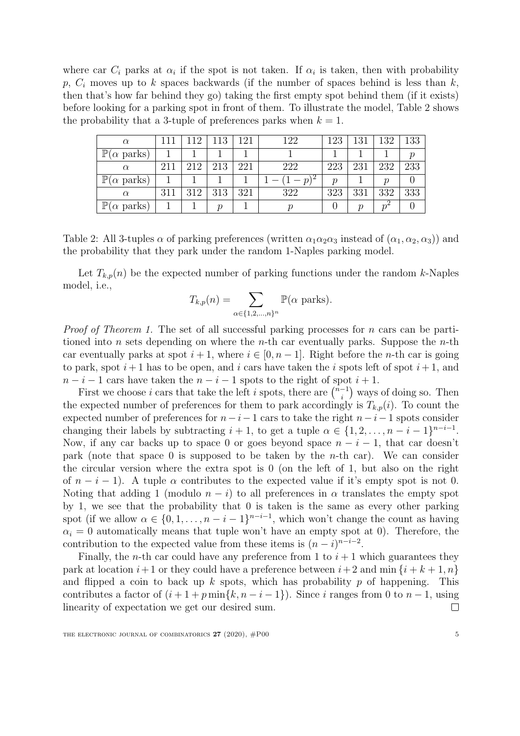where car  $C_i$  parks at  $\alpha_i$  if the spot is not taken. If  $\alpha_i$  is taken, then with probability p,  $C_i$  moves up to k spaces backwards (if the number of spaces behind is less than k, then that's how far behind they go) taking the first empty spot behind them (if it exists) before looking for a parking spot in front of them. To illustrate the model, Table [2](#page-4-0) shows the probability that a 3-tuple of preferences parks when  $k = 1$ .

| $\alpha$                                |     | $+19$ | 113 | 191 | 122           | 123                 | 131 | 132           | 133                 |
|-----------------------------------------|-----|-------|-----|-----|---------------|---------------------|-----|---------------|---------------------|
| $\mathbb P$<br>$\alpha$ parks)          |     |       |     |     |               |                     |     |               | $\boldsymbol{\eta}$ |
| $\alpha$                                | 211 | 212   | 213 | 221 | 222           | 223                 | 231 | 232           | 233                 |
| $\mathbb P$<br>$(\alpha \text{ parks})$ |     |       |     |     | $\mathcal{p}$ | $\boldsymbol{\eta}$ |     | ŋ             |                     |
| $\alpha$                                | 311 | 312   | 313 | 321 | 322           | 323                 | 331 | 332           | 333                 |
| $\mathbb P$<br>$(\alpha \text{ parks})$ |     |       | n   |     |               |                     | n   | $\eta^\omega$ |                     |

<span id="page-4-0"></span>Table 2: All 3-tuples  $\alpha$  of parking preferences (written  $\alpha_1\alpha_2\alpha_3$  instead of  $(\alpha_1, \alpha_2, \alpha_3)$ ) and the probability that they park under the random 1-Naples parking model.

Let  $T_{k,p}(n)$  be the expected number of parking functions under the random k-Naples model, i.e.,

$$
T_{k,p}(n) = \sum_{\alpha \in \{1,2,\ldots,n\}^n} \mathbb{P}(\alpha \text{ parks}).
$$

*Proof of Theorem [1.](#page-1-2)* The set of all successful parking processes for  $n$  cars can be partitioned into n sets depending on where the n-th car eventually parks. Suppose the n-th car eventually parks at spot  $i + 1$ , where  $i \in [0, n - 1]$ . Right before the n-th car is going to park, spot  $i+1$  has to be open, and i cars have taken the i spots left of spot  $i+1$ , and  $n-i-1$  cars have taken the  $n-i-1$  spots to the right of spot  $i+1$ .

First we choose i cars that take the left i spots, there are  $\binom{n-1}{i}$  $\binom{-1}{i}$  ways of doing so. Then the expected number of preferences for them to park accordingly is  $T_{k,p}(i)$ . To count the expected number of preferences for  $n-i-1$  cars to take the right  $n-i-1$  spots consider changing their labels by subtracting  $i + 1$ , to get a tuple  $\alpha \in \{1, 2, \ldots, n - i - 1\}^{n-i-1}$ . Now, if any car backs up to space 0 or goes beyond space  $n - i - 1$ , that car doesn't park (note that space 0 is supposed to be taken by the *n*-th car). We can consider the circular version where the extra spot is 0 (on the left of 1, but also on the right of  $n - i - 1$ ). A tuple  $\alpha$  contributes to the expected value if it's empty spot is not 0. Noting that adding 1 (modulo  $n - i$ ) to all preferences in  $\alpha$  translates the empty spot by 1, we see that the probability that 0 is taken is the same as every other parking spot (if we allow  $\alpha \in \{0, 1, \ldots, n - i - 1\}^{n - i - 1}$ , which won't change the count as having  $\alpha_i = 0$  automatically means that tuple won't have an empty spot at 0). Therefore, the contribution to the expected value from these items is  $(n-i)^{n-i-2}$ .

Finally, the *n*-th car could have any preference from 1 to  $i + 1$  which guarantees they park at location  $i+1$  or they could have a preference between  $i+2$  and min  $\{i+k+1,n\}$ and flipped a coin to back up k spots, which has probability p of happening. This contributes a factor of  $(i + 1 + p \min\{k, n - i - 1\})$ . Since i ranges from 0 to  $n - 1$ , using linearity of expectation we get our desired sum.  $\Box$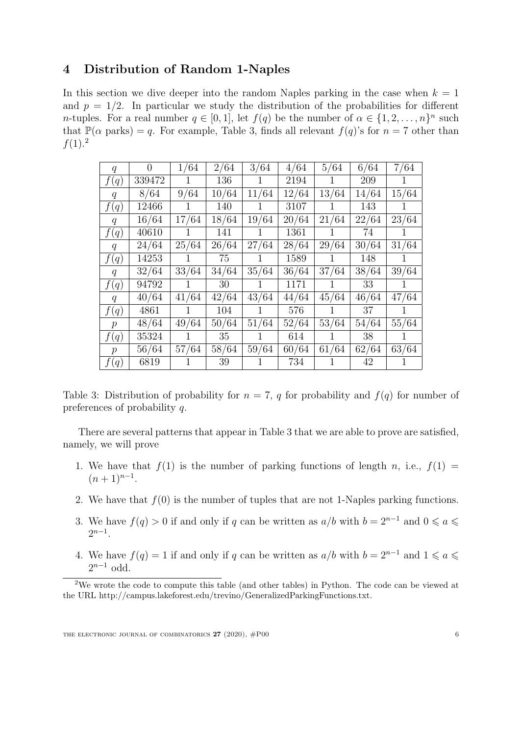## <span id="page-5-0"></span>4 Distribution of Random 1-Naples

In this section we dive deeper into the random Naples parking in the case when  $k = 1$ and  $p = 1/2$ . In particular we study the distribution of the probabilities for different *n*-tuples. For a real number  $q \in [0,1]$ , let  $f(q)$  be the number of  $\alpha \in \{1,2,\ldots,n\}^n$  such that  $\mathbb{P}(\alpha \text{ parks}) = q$ . For example, Table [3,](#page-5-1) finds all relevant  $f(q)$ 's for  $n = 7$  other than  $f(1).^{2}$  $f(1).^{2}$  $f(1).^{2}$ 

| q               | $\overline{0}$ | 1/64         | 2/64            | 3/64         | 4/64  | 5/64         | 6/64  | 7/64         |
|-----------------|----------------|--------------|-----------------|--------------|-------|--------------|-------|--------------|
| f(q)            | 339472         | $\mathbf{1}$ | 136             | $\mathbf{1}$ | 2194  | 1            | 209   | 1.           |
| $q_{\parallel}$ | 8/64           | 9/64         | 10/64           | 11/64        | 12/64 | 13/64        | 14/64 | 15/64        |
| f(q)            | 12466          | $\mathbf{1}$ | 140             | $\mathbf{1}$ | 3107  | $\mathbf{1}$ | 143   | $\mathbf{1}$ |
| $q_{-}$         | 16/64          | 17/64        | 18/64           | 19/64        | 20/64 | 21/64        | 22/64 | 23/64        |
| f(q)            | 40610          | $\mathbf{1}$ | 141             | 1            | 1361  | 1            | 74    | 1            |
| $q_{\parallel}$ | 24/64          | 25/64        | 26/64           | 27/64        | 28/64 | 29/64        | 30/64 | 31/64        |
| f(q)            | 14253          | 1            | 75              | 1            | 1589  | 1            | 148   | $\mathbf{1}$ |
| $q_{\parallel}$ | 32/64          | 33/64        | 34/64           | 35/64        | 36/64 | 37/64        | 38/64 | 39/64        |
| f(q)            | 94792          | 1            | 30              | $\mathbf{1}$ | 1171  | $\mathbf{1}$ | 33    | 1            |
| $q_{\parallel}$ | 40/64          | 41/64        | 42/64           | 43/64        | 44/64 | 45/64        | 46/64 | 47/64        |
| f(q)            | 4861           | 1            | 104             | 1            | 576   | $\mathbf{1}$ | 37    | 1            |
| $p_{\parallel}$ | 48/64          | 49/64        | 50/64           | 51/64        | 52/64 | 53/64        | 54/64 | 55/64        |
| f(q)            | 35324          | $\mathbf{1}$ | 35 <sub>1</sub> | $\mathbf{1}$ | 614   | $\mathbf{1}$ | 38    | $\mathbf{1}$ |
| $p_{\parallel}$ | 56/64          | 57/64        | 58/64           | 59/64        | 60/64 | 61/64        | 62/64 | 63/64        |
| f(q)            | 6819           | 1            | 39              | 1            | 734   | 1            | 42    | 1            |

<span id="page-5-1"></span>Table 3: Distribution of probability for  $n = 7$ , q for probability and  $f(q)$  for number of preferences of probability q.

There are several patterns that appear in Table [3](#page-5-1) that we are able to prove are satisfied, namely, we will prove

- <span id="page-5-3"></span>1. We have that  $f(1)$  is the number of parking functions of length n, i.e.,  $f(1) =$  $(n+1)^{n-1}.$
- <span id="page-5-4"></span>2. We have that  $f(0)$  is the number of tuples that are not 1-Naples parking functions.
- <span id="page-5-6"></span>3. We have  $f(q) > 0$  if and only if q can be written as  $a/b$  with  $b = 2^{n-1}$  and  $0 \le a \le b$  $2^{n-1}$ .
- <span id="page-5-5"></span>4. We have  $f(q) = 1$  if and only if q can be written as  $a/b$  with  $b = 2^{n-1}$  and  $1 \leq a \leq$  $2^{n-1}$  odd.

<span id="page-5-2"></span><sup>2</sup>We wrote the code to compute this table (and other tables) in Python. The code can be viewed at the URL http://campus.lakeforest.edu/trevino/GeneralizedParkingFunctions.txt.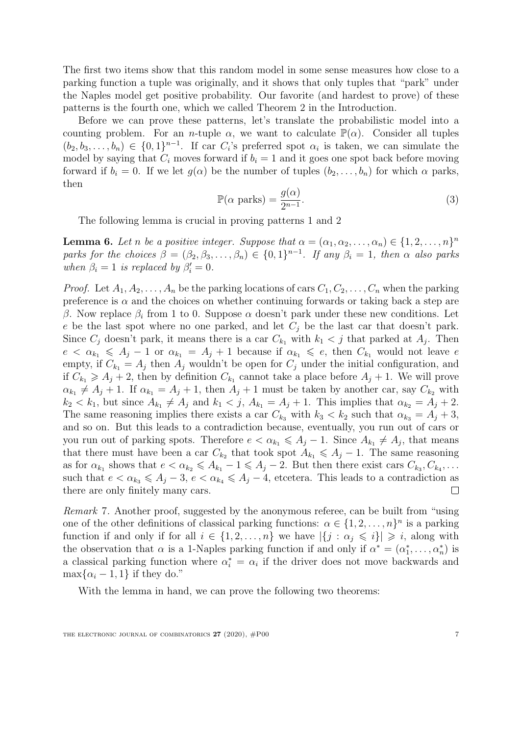The first two items show that this random model in some sense measures how close to a parking function a tuple was originally, and it shows that only tuples that "park" under the Naples model get positive probability. Our favorite (and hardest to prove) of these patterns is the fourth one, which we called Theorem [2](#page-2-2) in the Introduction.

Before we can prove these patterns, let's translate the probabilistic model into a counting problem. For an *n*-tuple  $\alpha$ , we want to calculate  $\mathbb{P}(\alpha)$ . Consider all tuples  $(b_2, b_3, \ldots, b_n) \in \{0,1\}^{n-1}$ . If car  $C_i$ 's preferred spot  $\alpha_i$  is taken, we can simulate the model by saying that  $C_i$  moves forward if  $b_i = 1$  and it goes one spot back before moving forward if  $b_i = 0$ . If we let  $g(\alpha)$  be the number of tuples  $(b_2, \ldots, b_n)$  for which  $\alpha$  parks, then

$$
\mathbb{P}(\alpha \text{ parks}) = \frac{g(\alpha)}{2^{n-1}}.\tag{3}
$$

<span id="page-6-1"></span>The following lemma is crucial in proving patterns [1](#page-5-3) and [2](#page-5-4)

<span id="page-6-0"></span>**Lemma 6.** Let n be a positive integer. Suppose that  $\alpha = (\alpha_1, \alpha_2, \dots, \alpha_n) \in \{1, 2, \dots, n\}^n$ parks for the choices  $\beta = (\beta_2, \beta_3, \dots, \beta_n) \in \{0,1\}^{n-1}$ . If any  $\beta_i = 1$ , then  $\alpha$  also parks when  $\beta_i = 1$  is replaced by  $\beta'_i = 0$ .

*Proof.* Let  $A_1, A_2, \ldots, A_n$  be the parking locations of cars  $C_1, C_2, \ldots, C_n$  when the parking preference is  $\alpha$  and the choices on whether continuing forwards or taking back a step are β. Now replace  $β<sub>i</sub>$  from 1 to 0. Suppose  $α$  doesn't park under these new conditions. Let e be the last spot where no one parked, and let  $C_i$  be the last car that doesn't park. Since  $C_j$  doesn't park, it means there is a car  $C_{k_1}$  with  $k_1 < j$  that parked at  $A_j$ . Then  $e < \alpha_{k_1} \leq A_j - 1$  or  $\alpha_{k_1} = A_j + 1$  because if  $\alpha_{k_1} \leq e_j$ , then  $C_{k_1}$  would not leave e empty, if  $C_{k_1} = A_j$  then  $A_j$  wouldn't be open for  $C_j$  under the initial configuration, and if  $C_{k_1} \geq A_j + 2$ , then by definition  $C_{k_1}$  cannot take a place before  $A_j + 1$ . We will prove  $\alpha_{k_1} \neq A_j + 1$ . If  $\alpha_{k_1} = A_j + 1$ , then  $A_j + 1$  must be taken by another car, say  $C_{k_2}$  with  $k_2 < k_1$ , but since  $A_{k_1} \neq A_j$  and  $k_1 < j$ ,  $A_{k_1} = A_j + 1$ . This implies that  $\alpha_{k_2} = A_j + 2$ . The same reasoning implies there exists a car  $C_{k_3}$  with  $k_3 < k_2$  such that  $\alpha_{k_3} = A_i + 3$ , and so on. But this leads to a contradiction because, eventually, you run out of cars or you run out of parking spots. Therefore  $e < \alpha_{k_1} \leq \alpha_{j-1}$ . Since  $A_{k_1} \neq A_j$ , that means that there must have been a car  $C_{k_2}$  that took spot  $A_{k_1} \leq A_j - 1$ . The same reasoning as for  $\alpha_{k_1}$  shows that  $e < \alpha_{k_2} \leq A_{k_1} - 1 \leq A_j - 2$ . But then there exist cars  $C_{k_3}, C_{k_4}, \ldots$ such that  $e < \alpha_{k_3} \leq A_j - 3$ ,  $e < \alpha_{k_4} \leq A_j - 4$ , etcetera. This leads to a contradiction as there are only finitely many cars.  $\Box$ 

Remark 7. Another proof, suggested by the anonymous referee, can be built from "using one of the other definitions of classical parking functions:  $\alpha \in \{1, 2, ..., n\}^n$  is a parking function if and only if for all  $i \in \{1, 2, ..., n\}$  we have  $|\{j : \alpha_j \leq i\}| \geq i$ , along with the observation that  $\alpha$  is a 1-Naples parking function if and only if  $\alpha^* = (\alpha_1^*, \dots, \alpha_n^*)$  is a classical parking function where  $\alpha_i^* = \alpha_i$  if the driver does not move backwards and  $\max\{\alpha_i - 1, 1\}$  if they do."

With the lemma in hand, we can prove the following two theorems: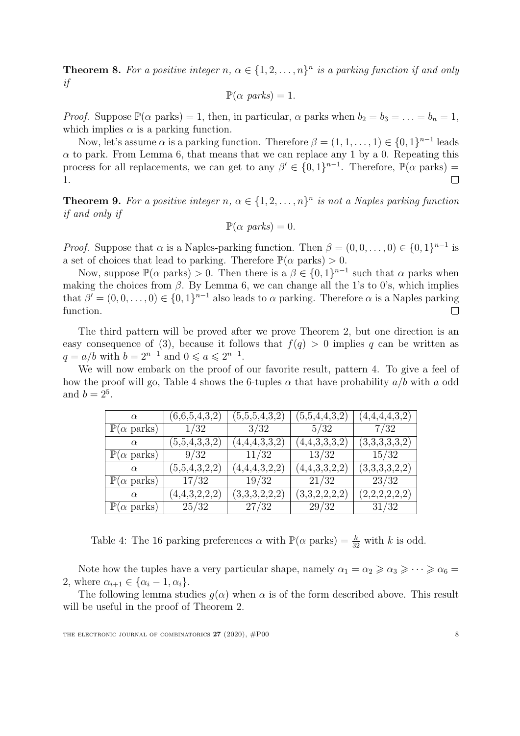**Theorem 8.** For a positive integer n,  $\alpha \in \{1, 2, ..., n\}^n$  is a parking function if and only if

$$
\mathbb{P}(\alpha \text{ parks}) = 1.
$$

*Proof.* Suppose  $\mathbb{P}(\alpha \text{ parks}) = 1$ , then, in particular,  $\alpha$  parks when  $b_2 = b_3 = \ldots = b_n = 1$ , which implies  $\alpha$  is a parking function.

Now, let's assume  $\alpha$  is a parking function. Therefore  $\beta = (1, 1, \ldots, 1) \in \{0, 1\}^{n-1}$  leads  $\alpha$  to park. From Lemma [6,](#page-6-0) that means that we can replace any 1 by a 0. Repeating this process for all replacements, we can get to any  $\beta' \in \{0,1\}^{n-1}$ . Therefore,  $\mathbb{P}(\alpha \text{ parks}) =$  $\Box$ 1.

**Theorem 9.** For a positive integer n,  $\alpha \in \{1, 2, ..., n\}^n$  is not a Naples parking function if and only if

$$
\mathbb{P}(\alpha \text{ parks}) = 0.
$$

*Proof.* Suppose that  $\alpha$  is a Naples-parking function. Then  $\beta = (0, 0, \ldots, 0) \in \{0, 1\}^{n-1}$  is a set of choices that lead to parking. Therefore  $\mathbb{P}(\alpha \text{ parks}) > 0$ .

Now, suppose  $\mathbb{P}(\alpha \text{ parks}) > 0$ . Then there is  $a \beta \in \{0,1\}^{n-1}$  such that  $\alpha$  parks when making the choices from  $\beta$ . By Lemma [6,](#page-6-0) we can change all the 1's to 0's, which implies that  $\beta' = (0, 0, \dots, 0) \in \{0, 1\}^{n-1}$  also leads to  $\alpha$  parking. Therefore  $\alpha$  is a Naples parking function.  $\Box$ 

The third pattern will be proved after we prove Theorem [2,](#page-2-2) but one direction is an easy consequence of [\(3\)](#page-6-1), because it follows that  $f(q) > 0$  implies q can be written as  $q = a/b$  with  $b = 2^{n-1}$  and  $0 \le a \le 2^{n-1}$ .

We will now embark on the proof of our favorite result, pattern [4.](#page-5-5) To give a feel of how the proof will go, Table [4](#page-7-0) shows the 6-tuples  $\alpha$  that have probability  $a/b$  with a odd and  $b = 2^5$ .

| $\alpha$                           | (6,6,5,4,3,2) | (5,5,5,4,3,2) | $\scriptstyle{(5,5,4,4,3,2)}$ | (4,4,4,4,3,2) |
|------------------------------------|---------------|---------------|-------------------------------|---------------|
| $\mathbb{P}(\alpha \text{ parks})$ | 1/32          | 3/32          | 5/32                          | 7/32          |
| $\alpha$                           | (5,5,4,3,3,2) | (4,4,4,3,3,2) | (4,4,3,3,3,2)                 | (3,3,3,3,3,2) |
| $\mathbb{P}(\alpha \text{ parks})$ | 9/32          | 11/32         | 13/32                         | 15/32         |
| $\alpha$                           | (5,5,4,3,2,2) | (4,4,4,3,2,2) | (4,4,3,3,2,2)                 | (3,3,3,3,2,2) |
| $\mathbb{P}(\alpha \text{ parks})$ | 17/32         | 19/32         | 21/32                         | 23/32         |
| $\alpha$                           | (4,4,3,2,2,2) | (3,3,3,2,2,2) | (3,3,2,2,2,2)                 | (2,2,2,2,2,2) |
| $\mathbb{P}(\alpha \text{ parks})$ | 25/32         | 27/32         | 29/32                         | 31/32         |

<span id="page-7-0"></span>Table 4: The 16 parking preferences  $\alpha$  with  $\mathbb{P}(\alpha \text{ parks}) = \frac{k}{32}$  with k is odd.

Note how the tuples have a very particular shape, namely  $\alpha_1 = \alpha_2 \geq \alpha_3 \geq \cdots \geq \alpha_6 =$ 2, where  $\alpha_{i+1} \in {\alpha_i - 1, \alpha_i}$ .

The following lemma studies  $q(\alpha)$  when  $\alpha$  is of the form described above. This result will be useful in the proof of Theorem [2.](#page-2-2)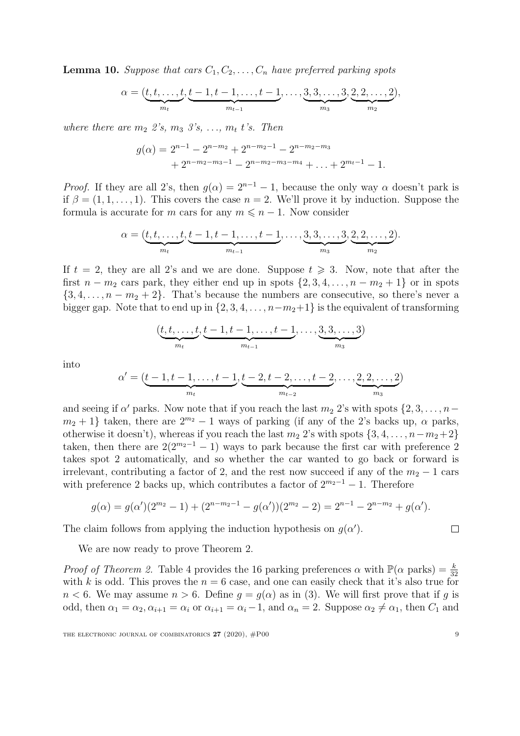<span id="page-8-0"></span>**Lemma 10.** Suppose that cars  $C_1, C_2, \ldots, C_n$  have preferred parking spots

$$
\alpha = (\underbrace{t, t, \dots, t}_{m_t}, \underbrace{t-1, t-1, \dots, t-1}_{m_{t-1}}, \dots, \underbrace{3, 3, \dots, 3}_{m_3}, \underbrace{2, 2, \dots, 2}_{m_2}),
$$

where there are  $m_2$  2's,  $m_3$  3's, ...,  $m_t$  t's. Then

$$
g(\alpha) = 2^{n-1} - 2^{n-m_2} + 2^{n-m_2-1} - 2^{n-m_2-m_3} + 2^{n-m_2-m_3-1} - 2^{n-m_2-m_3-m_4} + \dots + 2^{m_t-1} - 1.
$$

*Proof.* If they are all 2's, then  $q(\alpha) = 2^{n-1} - 1$ , because the only way  $\alpha$  doesn't park is if  $\beta = (1, 1, \ldots, 1)$ . This covers the case  $n = 2$ . We'll prove it by induction. Suppose the formula is accurate for m cars for any  $m \leq n - 1$ . Now consider

$$
\alpha = (\underbrace{t, t, \dots, t}_{m_t}, \underbrace{t-1, t-1, \dots, t-1}_{m_{t-1}}, \dots, \underbrace{3, 3, \dots, 3}_{m_3}, \underbrace{2, 2, \dots, 2}_{m_2}).
$$

If  $t = 2$ , they are all 2's and we are done. Suppose  $t \geq 3$ . Now, note that after the first  $n - m_2$  cars park, they either end up in spots  $\{2, 3, 4, \ldots, n - m_2 + 1\}$  or in spots  $\{3, 4, \ldots, n - m_2 + 2\}$ . That's because the numbers are consecutive, so there's never a bigger gap. Note that to end up in  $\{2, 3, 4, \ldots, n-m_2+1\}$  is the equivalent of transforming

$$
(\underbrace{t, t, \ldots, t}_{m_t}, \underbrace{t-1, t-1, \ldots, t-1}_{m_{t-1}}, \ldots, \underbrace{3, 3, \ldots, 3}_{m_3})
$$

into

$$
\alpha' = (\underbrace{t-1, t-1, \dots, t-1}_{m_t}, \underbrace{t-2, t-2, \dots, t-2}_{m_{t-2}}, \dots, \underbrace{2, 2, \dots, 2}_{m_3})
$$

and seeing if  $\alpha'$  parks. Now note that if you reach the last  $m_2$  2's with spots  $\{2, 3, \ldots, n-1\}$  $m_2 + 1$  taken, there are  $2^{m_2} - 1$  ways of parking (if any of the 2's backs up,  $\alpha$  parks, otherwise it doesn't), whereas if you reach the last  $m_2$  2's with spots  $\{3, 4, \ldots, n-m_2+2\}$ taken, then there are  $2(2^{m_2-1}-1)$  ways to park because the first car with preference 2 takes spot 2 automatically, and so whether the car wanted to go back or forward is irrelevant, contributing a factor of 2, and the rest now succeed if any of the  $m_2 - 1$  cars with preference 2 backs up, which contributes a factor of  $2^{m_2-1} - 1$ . Therefore

$$
g(\alpha) = g(\alpha')(2^{m_2} - 1) + (2^{n - m_2 - 1} - g(\alpha'))(2^{m_2} - 2) = 2^{n - 1} - 2^{n - m_2} + g(\alpha').
$$

The claim follows from applying the induction hypothesis on  $g(\alpha')$ .

We are now ready to prove Theorem [2.](#page-2-2)

*Proof of Theorem [2.](#page-2-2)* Table [4](#page-7-0) provides the 16 parking preferences  $\alpha$  with  $\mathbb{P}(\alpha \text{ parks}) = \frac{k}{32}$ with k is odd. This proves the  $n = 6$  case, and one can easily check that it's also true for  $n < 6$ . We may assume  $n > 6$ . Define  $q = q(\alpha)$  as in [\(3\)](#page-6-1). We will first prove that if q is odd, then  $\alpha_1 = \alpha_2, \alpha_{i+1} = \alpha_i$  or  $\alpha_{i+1} = \alpha_i - 1$ , and  $\alpha_n = 2$ . Suppose  $\alpha_2 \neq \alpha_1$ , then  $C_1$  and

 $\Box$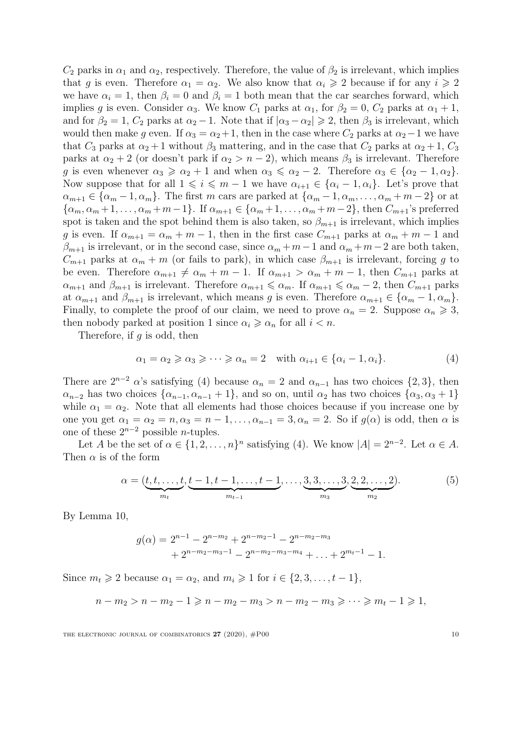$C_2$  parks in  $\alpha_1$  and  $\alpha_2$ , respectively. Therefore, the value of  $\beta_2$  is irrelevant, which implies that g is even. Therefore  $\alpha_1 = \alpha_2$ . We also know that  $\alpha_i \geq 2$  because if for any  $i \geq 2$ we have  $\alpha_i = 1$ , then  $\beta_i = 0$  and  $\beta_i = 1$  both mean that the car searches forward, which implies g is even. Consider  $\alpha_3$ . We know  $C_1$  parks at  $\alpha_1$ , for  $\beta_2 = 0$ ,  $C_2$  parks at  $\alpha_1 + 1$ , and for  $\beta_2 = 1$ ,  $C_2$  parks at  $\alpha_2 - 1$ . Note that if  $|\alpha_3 - \alpha_2| \geq 2$ , then  $\beta_3$  is irrelevant, which would then make g even. If  $\alpha_3 = \alpha_2 + 1$ , then in the case where  $C_2$  parks at  $\alpha_2 - 1$  we have that  $C_3$  parks at  $\alpha_2 + 1$  without  $\beta_3$  mattering, and in the case that  $C_2$  parks at  $\alpha_2 + 1$ ,  $C_3$ parks at  $\alpha_2 + 2$  (or doesn't park if  $\alpha_2 > n - 2$ ), which means  $\beta_3$  is irrelevant. Therefore g is even whenever  $\alpha_3 \geq \alpha_2 + 1$  and when  $\alpha_3 \leq \alpha_2 - 2$ . Therefore  $\alpha_3 \in {\alpha_2 - 1, \alpha_2}$ . Now suppose that for all  $1 \leq i \leq m-1$  we have  $\alpha_{i+1} \in {\alpha_i - 1, \alpha_i}$ . Let's prove that  $\alpha_{m+1} \in {\alpha_m - 1, \alpha_m}$ . The first m cars are parked at  ${\alpha_m - 1, \alpha_m, \dots, \alpha_m + m - 2}$  or at  ${\alpha_m, \alpha_m+1, \ldots, \alpha_m+m-1}$ . If  $\alpha_{m+1} \in {\alpha_m+1, \ldots, \alpha_m+m-2}$ , then  $C_{m+1}$ 's preferred spot is taken and the spot behind them is also taken, so  $\beta_{m+1}$  is irrelevant, which implies g is even. If  $\alpha_{m+1} = \alpha_m + m - 1$ , then in the first case  $C_{m+1}$  parks at  $\alpha_m + m - 1$  and  $\beta_{m+1}$  is irrelevant, or in the second case, since  $\alpha_m + m-1$  and  $\alpha_m + m-2$  are both taken,  $C_{m+1}$  parks at  $\alpha_m + m$  (or fails to park), in which case  $\beta_{m+1}$  is irrelevant, forcing g to be even. Therefore  $\alpha_{m+1} \neq \alpha_m + m - 1$ . If  $\alpha_{m+1} > \alpha_m + m - 1$ , then  $C_{m+1}$  parks at  $\alpha_{m+1}$  and  $\beta_{m+1}$  is irrelevant. Therefore  $\alpha_{m+1} \leq \alpha_m$ . If  $\alpha_{m+1} \leq \alpha_m - 2$ , then  $C_{m+1}$  parks at  $\alpha_{m+1}$  and  $\beta_{m+1}$  is irrelevant, which means g is even. Therefore  $\alpha_{m+1} \in {\alpha_m - 1, \alpha_m}$ . Finally, to complete the proof of our claim, we need to prove  $\alpha_n = 2$ . Suppose  $\alpha_n \geq 3$ , then nobody parked at position 1 since  $\alpha_i \geq \alpha_n$  for all  $i < n$ .

Therefore, if  $q$  is odd, then

<span id="page-9-0"></span>
$$
\alpha_1 = \alpha_2 \geqslant \alpha_3 \geqslant \cdots \geqslant \alpha_n = 2 \quad \text{with } \alpha_{i+1} \in \{\alpha_i - 1, \alpha_i\}. \tag{4}
$$

There are  $2^{n-2}$  α's satisfying [\(4\)](#page-9-0) because  $\alpha_n = 2$  and  $\alpha_{n-1}$  has two choices  $\{2,3\}$ , then  $\alpha_{n-2}$  has two choices  $\{\alpha_{n-1}, \alpha_{n-1} + 1\}$ , and so on, until  $\alpha_2$  has two choices  $\{\alpha_3, \alpha_3 + 1\}$ while  $\alpha_1 = \alpha_2$ . Note that all elements had those choices because if you increase one by one you get  $\alpha_1 = \alpha_2 = n, \alpha_3 = n - 1, \ldots, \alpha_{n-1} = 3, \alpha_n = 2$ . So if  $g(\alpha)$  is odd, then  $\alpha$  is one of these  $2^{n-2}$  possible *n*-tuples.

Let A be the set of  $\alpha \in \{1, 2, ..., n\}^n$  satisfying [\(4\)](#page-9-0). We know  $|A| = 2^{n-2}$ . Let  $\alpha \in A$ . Then  $\alpha$  is of the form

<span id="page-9-1"></span>
$$
\alpha = (\underbrace{t, t, \dots, t}_{m_t}, \underbrace{t-1, t-1, \dots, t-1}_{m_{t-1}}, \dots, \underbrace{3, 3, \dots, 3}_{m_3}, \underbrace{2, 2, \dots, 2}_{m_2}).
$$
\n(5)

By Lemma [10,](#page-8-0)

$$
g(\alpha) = 2^{n-1} - 2^{n-m_2} + 2^{n-m_2-1} - 2^{n-m_2-m_3} + 2^{n-m_2-m_3-1} - 2^{n-m_2-m_3-m_4} + \dots + 2^{m_t-1} - 1.
$$

Since  $m_t \geq 2$  because  $\alpha_1 = \alpha_2$ , and  $m_i \geq 1$  for  $i \in \{2, 3, \ldots, t-1\}$ ,

$$
n - m_2 > n - m_2 - 1 \geq n - m_2 - m_3 > n - m_2 - m_3 \geq \cdots \geq m_t - 1 \geq 1,
$$

THE ELECTRONIC JOURNAL OF COMBINATORICS  $27 (2020)$ ,  $#P00$  10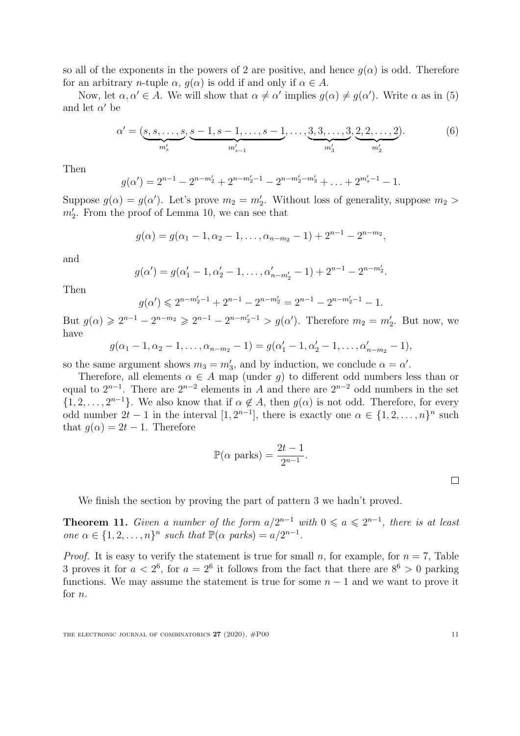so all of the exponents in the powers of 2 are positive, and hence  $q(\alpha)$  is odd. Therefore for an arbitrary *n*-tuple  $\alpha$ ,  $q(\alpha)$  is odd if and only if  $\alpha \in A$ .

Now, let  $\alpha, \alpha' \in A$ . We will show that  $\alpha \neq \alpha'$  implies  $g(\alpha) \neq g(\alpha')$ . Write  $\alpha$  as in [\(5\)](#page-9-1) and let  $\alpha'$  be

$$
\alpha' = (\underbrace{s, s, \dots, s}_{m'_s}, \underbrace{s-1, s-1, \dots, s-1}_{m'_{s-1}}, \dots, \underbrace{3, 3, \dots, 3}_{m'_3}, \underbrace{2, 2, \dots, 2}_{m'_2}).
$$
 (6)

Then

$$
g(\alpha') = 2^{n-1} - 2^{n-m'_2} + 2^{n-m'_2-1} - 2^{n-m'_2-m'_3} + \ldots + 2^{m'_s-1} - 1.
$$

Suppose  $g(\alpha) = g(\alpha')$ . Let's prove  $m_2 = m'_2$ . Without loss of generality, suppose  $m_2 >$  $m'_2$ . From the proof of Lemma [10,](#page-8-0) we can see that

$$
g(\alpha) = g(\alpha_1 - 1, \alpha_2 - 1, \dots, \alpha_{n-m_2} - 1) + 2^{n-1} - 2^{n-m_2},
$$

and

$$
g(\alpha') = g(\alpha'_1 - 1, \alpha'_2 - 1, \dots, \alpha'_{n-m'_2} - 1) + 2^{n-1} - 2^{n-m'_2}.
$$

Then

$$
g(\alpha') \leq 2^{n-m_2'-1} + 2^{n-1} - 2^{n-m_2'} = 2^{n-1} - 2^{n-m_2'-1} - 1.
$$

But  $g(\alpha) \geq 2^{n-1} - 2^{n-m_2} \geq 2^{n-1} - 2^{n-m_2'-1} > g(\alpha')$ . Therefore  $m_2 = m_2'$ . But now, we have

$$
g(\alpha_1-1,\alpha_2-1,\ldots,\alpha_{n-m_2}-1)=g(\alpha'_1-1,\alpha'_2-1,\ldots,\alpha'_{n-m_2}-1),
$$

so the same argument shows  $m_3 = m'_3$ , and by induction, we conclude  $\alpha = \alpha'$ .

Therefore, all elements  $\alpha \in A$  map (under g) to different odd numbers less than or equal to  $2^{n-1}$ . There are  $2^{n-2}$  elements in A and there are  $2^{n-2}$  odd numbers in the set  $\{1, 2, \ldots, 2^{n-1}\}.$  We also know that if  $\alpha \notin A$ , then  $g(\alpha)$  is not odd. Therefore, for every odd number  $2t - 1$  in the interval  $[1, 2^{n-1}]$ , there is exactly one  $\alpha \in \{1, 2, ..., n\}^n$  such that  $q(\alpha) = 2t - 1$ . Therefore

$$
\mathbb{P}(\alpha \text{ parks}) = \frac{2t - 1}{2^{n-1}}.
$$

We finish the section by proving the part of pattern [3](#page-5-6) we hadn't proved.

**Theorem 11.** Given a number of the form  $a/2^{n-1}$  with  $0 \le a \le 2^{n-1}$ , there is at least one  $\alpha \in \{1, 2, ..., n\}^n$  such that  $\mathbb{P}(\alpha \text{ parks}) = a/2^{n-1}$ .

*Proof.* It is easy to verify the statement is true for small n, for example, for  $n = 7$ , Table [3](#page-5-1) proves it for  $a < 2^6$ , for  $a = 2^6$  it follows from the fact that there are  $8^6 > 0$  parking functions. We may assume the statement is true for some  $n-1$  and we want to prove it for n.

THE ELECTRONIC JOURNAL OF COMBINATORICS  $27 (2020)$ ,  $\#P00$  11

 $\Box$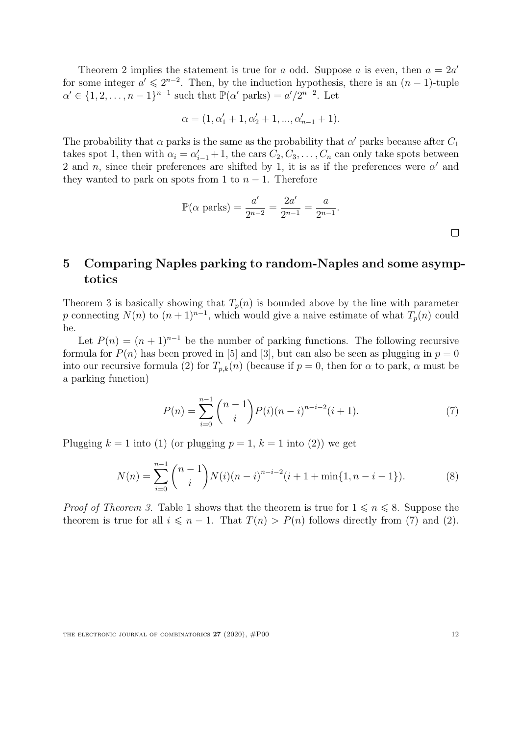Theorem [2](#page-2-2) implies the statement is true for a odd. Suppose a is even, then  $a = 2a'$ for some integer  $a' \leq 2^{n-2}$ . Then, by the induction hypothesis, there is an  $(n-1)$ -tuple  $\alpha' \in \{1, 2, \ldots, n-1\}^{n-1}$  such that  $\mathbb{P}(\alpha' \text{ parks}) = a'/2^{n-2}$ . Let

$$
\alpha = (1, \alpha'_1 + 1, \alpha'_2 + 1, ..., \alpha'_{n-1} + 1).
$$

The probability that  $\alpha$  parks is the same as the probability that  $\alpha'$  parks because after  $C_1$ takes spot 1, then with  $\alpha_i = \alpha'_{i-1} + 1$ , the cars  $C_2, C_3, \ldots, C_n$  can only take spots between 2 and n, since their preferences are shifted by 1, it is as if the preferences were  $\alpha'$  and they wanted to park on spots from 1 to  $n-1$ . Therefore

$$
\mathbb{P}(\alpha \text{ parks}) = \frac{a'}{2^{n-2}} = \frac{2a'}{2^{n-1}} = \frac{a}{2^{n-1}}.
$$

# <span id="page-11-0"></span>5 Comparing Naples parking to random-Naples and some asymptotics

Theorem [3](#page-2-3) is basically showing that  $T_p(n)$  is bounded above by the line with parameter p connecting  $N(n)$  to  $(n + 1)^{n-1}$ , which would give a naive estimate of what  $T_p(n)$  could be.

Let  $P(n) = (n + 1)^{n-1}$  be the number of parking functions. The following recursive formula for  $P(n)$  has been proved in [\[5\]](#page-12-0) and [\[3\]](#page-12-3), but can also be seen as plugging in  $p = 0$ into our recursive formula [\(2\)](#page-1-3) for  $T_{p,k}(n)$  (because if  $p = 0$ , then for  $\alpha$  to park,  $\alpha$  must be a parking function)

<span id="page-11-2"></span><span id="page-11-1"></span>
$$
P(n) = \sum_{i=0}^{n-1} {n-1 \choose i} P(i)(n-i)^{n-i-2}(i+1).
$$
 (7)

Plugging  $k = 1$  into [\(1\)](#page-1-1) (or plugging  $p = 1$ ,  $k = 1$  into [\(2\)](#page-1-3)) we get

$$
N(n) = \sum_{i=0}^{n-1} {n-1 \choose i} N(i)(n-i)^{n-i-2}(i+1+\min\{1, n-i-1\}).
$$
 (8)

*Proof of Theorem [3.](#page-2-3)* Table [1](#page-2-1) shows that the theorem is true for  $1 \le n \le 8$ . Suppose the theorem is true for all  $i \leq n - 1$ . That  $T(n) > P(n)$  follows directly from [\(7\)](#page-11-1) and [\(2\)](#page-1-3).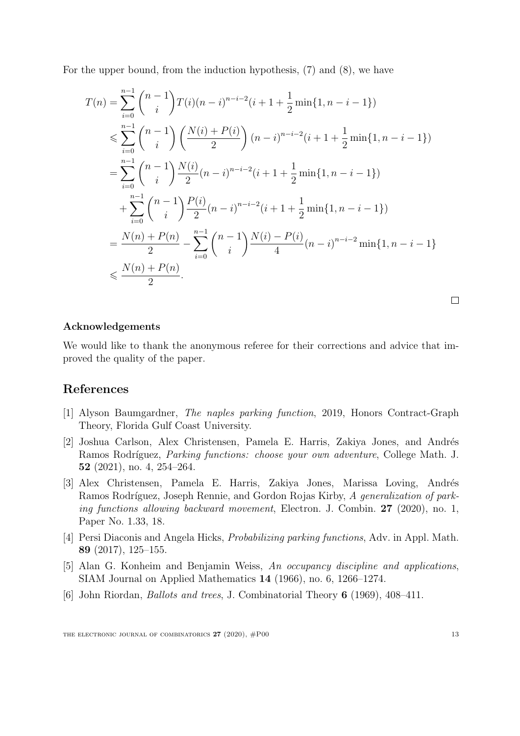For the upper bound, from the induction hypothesis, [\(7\)](#page-11-1) and [\(8\)](#page-11-2), we have

$$
T(n) = \sum_{i=0}^{n-1} {n-1 \choose i} T(i)(n-i)^{n-i-2} (i+1+\frac{1}{2} \min\{1, n-i-1\})
$$
  
\n
$$
\leqslant \sum_{i=0}^{n-1} {n-1 \choose i} \left(\frac{N(i)+P(i)}{2}\right) (n-i)^{n-i-2} (i+1+\frac{1}{2} \min\{1, n-i-1\})
$$
  
\n
$$
= \sum_{i=0}^{n-1} {n-1 \choose i} \frac{N(i)}{2} (n-i)^{n-i-2} (i+1+\frac{1}{2} \min\{1, n-i-1\})
$$
  
\n
$$
+ \sum_{i=0}^{n-1} {n-1 \choose i} \frac{P(i)}{2} (n-i)^{n-i-2} (i+1+\frac{1}{2} \min\{1, n-i-1\})
$$
  
\n
$$
= \frac{N(n)+P(n)}{2} - \sum_{i=0}^{n-1} {n-1 \choose i} \frac{N(i)-P(i)}{4} (n-i)^{n-i-2} \min\{1, n-i-1\}
$$
  
\n
$$
\leqslant \frac{N(n)+P(n)}{2}.
$$

 $\Box$ 

#### Acknowledgements

We would like to thank the anonymous referee for their corrections and advice that improved the quality of the paper.

### References

- <span id="page-12-2"></span>[1] Alyson Baumgardner, The naples parking function, 2019, Honors Contract-Graph Theory, Florida Gulf Coast University.
- <span id="page-12-4"></span>[2] Joshua Carlson, Alex Christensen, Pamela E. Harris, Zakiya Jones, and Andrés Ramos Rodríguez, Parking functions: choose your own adventure, College Math. J. 52 (2021), no. 4, 254–264.
- <span id="page-12-3"></span>[3] Alex Christensen, Pamela E. Harris, Zakiya Jones, Marissa Loving, Andrés Ramos Rodríguez, Joseph Rennie, and Gordon Rojas Kirby, A generalization of parking functions allowing backward movement, Electron. J. Combin. 27 (2020), no. 1, Paper No. 1.33, 18.
- <span id="page-12-5"></span>[4] Persi Diaconis and Angela Hicks, Probabilizing parking functions, Adv. in Appl. Math. 89 (2017), 125–155.
- <span id="page-12-0"></span>[5] Alan G. Konheim and Benjamin Weiss, An occupancy discipline and applications, SIAM Journal on Applied Mathematics 14 (1966), no. 6, 1266–1274.
- <span id="page-12-1"></span>[6] John Riordan, Ballots and trees, J. Combinatorial Theory 6 (1969), 408–411.